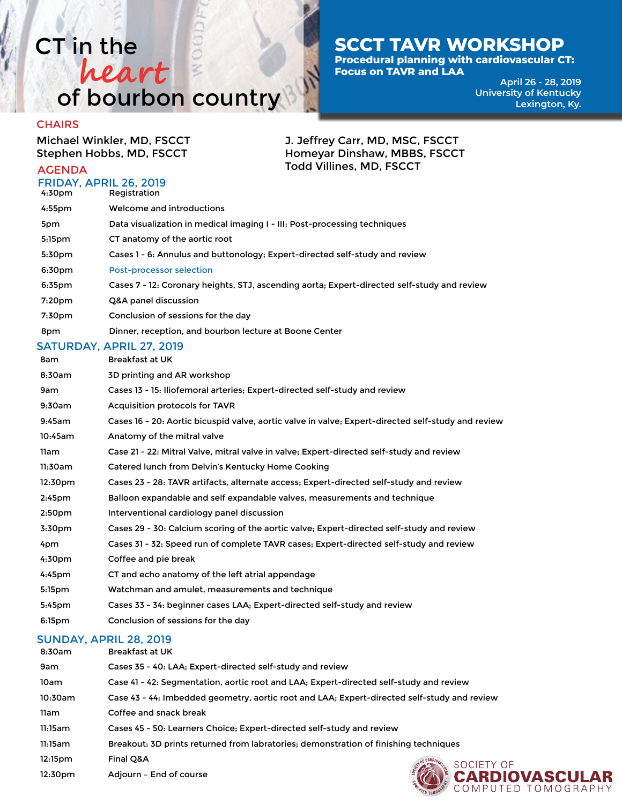### CT in the of bourbon country **heart**

### **SCCT TAVR WORKSHOP**

J. Jeffrey Carr, MD, MSC, FSCCT Homeyar Dinshaw, MBBS, FSCCT

Todd Villines, MD, FSCCT

**Procedural planning with cardiovascular CT: Focus on TAVR and LAA**

> **April 26 - 28, 2019 University of Kentucky Lexington, Ky.**

#### **CHAIRS**

Michael Winkler, MD, FSCCT Stephen Hobbs, MD, FSCCT

### AGENDA

|                   | <b>FRIDAY, APRIL 26, 2019</b> |
|-------------------|-------------------------------|
| $\sim$ 70. $\sim$ | $\blacksquare$                |

4:30pm Registration 4:55pm Welcome and introductions 5pm Data visualization in medical imaging I - III: Post-processing techniques 5:15pm CT anatomy of the aortic root 5:30pm Cases 1 - 6: Annulus and buttonology; Expert-directed self-study and review 6:30pm Post-processor selection 6:35pm Cases 7 - 12: Coronary heights, STJ, ascending aorta; Expert-directed self-study and review 7:20pm Q&A panel discussion 7:30pm Conclusion of sessions for the day 8pm Dinner, reception, and bourbon lecture at Boone Center

### SATURDAY, APRIL 27, 2019

| 8am                | <b>Breakfast at UK</b>                                                                             |
|--------------------|----------------------------------------------------------------------------------------------------|
| 8:30am             | 3D printing and AR workshop                                                                        |
| 9am                | Cases 13 - 15: Iliofemoral arteries; Expert-directed self-study and review                         |
| 9:30am             | Acquisition protocols for TAVR                                                                     |
| 9:45am             | Cases 16 - 20: Aortic bicuspid valve, aortic valve in valve; Expert-directed self-study and review |
| 10:45am            | Anatomy of the mitral valve                                                                        |
| 11am               | Case 21 - 22: Mitral Valve, mitral valve in valve; Expert-directed self-study and review           |
| 11:30am            | Catered lunch from Delvin's Kentucky Home Cooking                                                  |
| 12:30pm            | Cases 23 - 28: TAVR artifacts, alternate access; Expert-directed self-study and review             |
| 2:45 <sub>pm</sub> | Balloon expandable and self expandable valves, measurements and technique                          |
| 2:50 <sub>pm</sub> | Interventional cardiology panel discussion                                                         |
| 3:30 <sub>pm</sub> | Cases 29 - 30: Calcium scoring of the aortic valve; Expert-directed self-study and review          |
| 4pm                | Cases 31 - 32: Speed run of complete TAVR cases; Expert-directed self-study and review             |
| 4:30 <sub>pm</sub> | Coffee and pie break                                                                               |
| $4:45$ pm          | CT and echo anatomy of the left atrial appendage                                                   |
| 5:15pm             | Watchman and amulet, measurements and technique                                                    |
| 5:45pm             | Cases 33 - 34: beginner cases LAA; Expert-directed self-study and review                           |
| 6:15 <sub>pm</sub> | Conclusion of sessions for the day                                                                 |

### SUNDAY, APRIL 28, 2019

| 8:30am  | Breakfast at UK                                                                             |
|---------|---------------------------------------------------------------------------------------------|
| 9am     | Cases 35 - 40: LAA: Expert-directed self-study and review                                   |
| 10am    | Case 41 - 42: Segmentation, aortic root and LAA; Expert-directed self-study and review      |
| 10:30am | Case 43 - 44: Imbedded geometry, aortic root and LAA; Expert-directed self-study and review |
| 11am    | Coffee and snack break                                                                      |
| 11:15am | Cases 45 - 50: Learners Choice: Expert-directed self-study and review                       |
| 11:15am | Breakout: 3D prints returned from labratories; demonstration of finishing techniques        |
| 12:15pm | Final Q&A                                                                                   |
| 12:30pm | SOCIETY O<br>Adjourn - End of course                                                        |